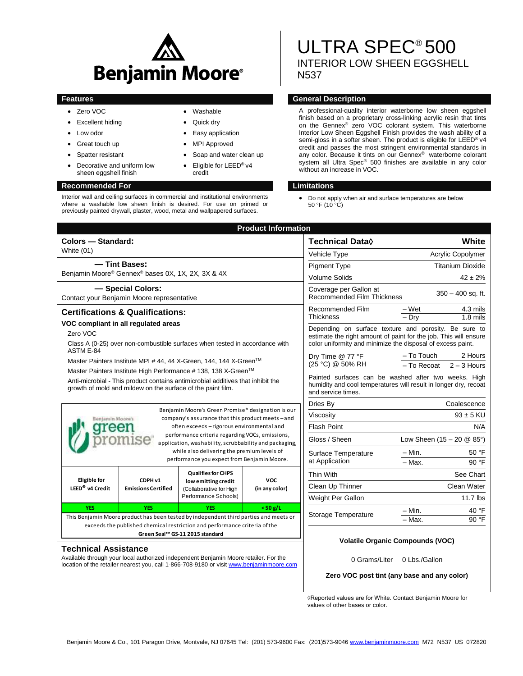

 Washable Quick dry Easy application MPI Approved

credit

 Soap and water clean up Eligible for LEED® v4

- Zero VOC
- Excellent hiding
- Low odor
- Great touch up
- Spatter resistant
- Decorative and uniform low sheen eggshell finish

### **Recommended For Limitations**

Interior wall and ceiling surfaces in commercial and institutional environments where a washable low sheen finish is desired. For use on primed or previously painted drywall, plaster, wood, metal and wallpapered surfaces.

# ULTRA SPEC® 500 INTERIOR LOW SHEEN EGGSHELL N537

### **Features General Description**

A professional-quality interior waterborne low sheen eggshell finish based on a proprietary cross-linking acrylic resin that tints on the Gennex® zero VOC colorant system. This waterborne Interior Low Sheen Eggshell Finish provides the wash ability of a semi-gloss in a softer sheen. The product is eligible for LEED<sup>®</sup> v4 credit and passes the most stringent environmental standards in any color. Because it tints on our Gennex® waterborne colorant system all Ultra Spec® 500 finishes are available in any color without an increase in VOC.

 Do not apply when air and surface temperatures are below 50 °F (10  $^{\circ}$ C)

| <b>Product Information</b>                                                                                                                                                                                                                                                                                                            |                                                             |                                                                                                     |                                                                                                                                                                                          |                                                                                    |                         |               |
|---------------------------------------------------------------------------------------------------------------------------------------------------------------------------------------------------------------------------------------------------------------------------------------------------------------------------------------|-------------------------------------------------------------|-----------------------------------------------------------------------------------------------------|------------------------------------------------------------------------------------------------------------------------------------------------------------------------------------------|------------------------------------------------------------------------------------|-------------------------|---------------|
| Colors - Standard:                                                                                                                                                                                                                                                                                                                    |                                                             |                                                                                                     |                                                                                                                                                                                          | <b>Technical Data</b> ♦                                                            | White                   |               |
| White $(01)$                                                                                                                                                                                                                                                                                                                          |                                                             |                                                                                                     |                                                                                                                                                                                          | Vehicle Type                                                                       | Acrylic Copolymer       |               |
| - Tint Bases:                                                                                                                                                                                                                                                                                                                         |                                                             |                                                                                                     |                                                                                                                                                                                          | <b>Pigment Type</b>                                                                | <b>Titanium Dioxide</b> |               |
| Benjamin Moore® Gennex® bases 0X, 1X, 2X, 3X & 4X                                                                                                                                                                                                                                                                                     |                                                             |                                                                                                     |                                                                                                                                                                                          | <b>Volume Solids</b>                                                               | $42 \pm 2\%$            |               |
| - Special Colors:<br>Contact your Benjamin Moore representative                                                                                                                                                                                                                                                                       |                                                             |                                                                                                     |                                                                                                                                                                                          | Coverage per Gallon at<br>$350 - 400$ sq. ft.<br><b>Recommended Film Thickness</b> |                         |               |
| <b>Certifications &amp; Qualifications:</b>                                                                                                                                                                                                                                                                                           |                                                             |                                                                                                     |                                                                                                                                                                                          | Recommended Film                                                                   | – Wet                   | 4.3 mils      |
| VOC compliant in all regulated areas                                                                                                                                                                                                                                                                                                  |                                                             |                                                                                                     |                                                                                                                                                                                          | <b>Thickness</b>                                                                   | – Drv                   | $1.8$ mils    |
| Zero VOC                                                                                                                                                                                                                                                                                                                              |                                                             | Class A (0-25) over non-combustible surfaces when tested in accordance with                         | Depending on surface texture and porosity. Be sure to<br>estimate the right amount of paint for the job. This will ensure<br>color uniformity and minimize the disposal of excess paint. |                                                                                    |                         |               |
| ASTM E-84                                                                                                                                                                                                                                                                                                                             |                                                             |                                                                                                     |                                                                                                                                                                                          | Dry Time @ 77 °F                                                                   | - To Touch              | 2 Hours       |
| Master Painters Institute MPI # 44, 44 X-Green, 144, 144 X-Green™<br>Master Painters Institute High Performance # 138, 138 X-Green™                                                                                                                                                                                                   |                                                             |                                                                                                     |                                                                                                                                                                                          | (25 °C) @ 50% RH                                                                   | - To Recoat             | $2 - 3$ Hours |
|                                                                                                                                                                                                                                                                                                                                       | growth of mold and mildew on the surface of the paint film. | Anti-microbial - This product contains antimicrobial additives that inhibit the                     | Painted surfaces can be washed after two weeks. High<br>humidity and cool temperatures will result in longer dry, recoat<br>and service times.                                           |                                                                                    |                         |               |
| Benjamin Moore's Green Promise® designation is our<br>company's assurance that this product meets - and<br>Benjamin Moore's<br>often exceeds - rigorous environmental and<br>performance criteria regarding VOCs, emissions,<br>application, washability, scrubbability and packaging,<br>while also delivering the premium levels of |                                                             |                                                                                                     |                                                                                                                                                                                          | Dries By                                                                           | Coalescence             |               |
|                                                                                                                                                                                                                                                                                                                                       |                                                             |                                                                                                     |                                                                                                                                                                                          | Viscosity                                                                          | $93 \pm 5$ KU           |               |
|                                                                                                                                                                                                                                                                                                                                       |                                                             |                                                                                                     |                                                                                                                                                                                          | <b>Flash Point</b>                                                                 | N/A                     |               |
|                                                                                                                                                                                                                                                                                                                                       |                                                             |                                                                                                     |                                                                                                                                                                                          | Gloss / Sheen<br>Low Sheen $(15 - 20 \& 85^{\circ})$                               |                         |               |
|                                                                                                                                                                                                                                                                                                                                       |                                                             |                                                                                                     |                                                                                                                                                                                          | Surface Temperature                                                                | – Min.                  | 50 °F         |
| performance you expect from Benjamin Moore.                                                                                                                                                                                                                                                                                           |                                                             |                                                                                                     |                                                                                                                                                                                          | at Application                                                                     | $-$ Max.                | 90 °F         |
| <b>Eligible for</b><br>LEED <sup>®</sup> v4 Credit                                                                                                                                                                                                                                                                                    | CDPH v1<br><b>Emissions Certified</b>                       | <b>Qualifies for CHPS</b><br>low emitting credit<br>(Collaborative for High<br>Performance Schools) | <b>VOC</b><br>(in any color)                                                                                                                                                             | Thin With                                                                          |                         | See Chart     |
|                                                                                                                                                                                                                                                                                                                                       |                                                             |                                                                                                     |                                                                                                                                                                                          | Clean Up Thinner                                                                   | Clean Water             |               |
|                                                                                                                                                                                                                                                                                                                                       |                                                             |                                                                                                     |                                                                                                                                                                                          | Weight Per Gallon                                                                  |                         | $11.7$ lbs    |
| <b>YFS</b>                                                                                                                                                                                                                                                                                                                            | <b>YFS</b>                                                  | <b>YFS</b>                                                                                          | $<$ 50 g/L                                                                                                                                                                               |                                                                                    | – Min.                  | 40 °F         |
|                                                                                                                                                                                                                                                                                                                                       |                                                             | This Benjamin Moore product has been tested by independent third parties and meets or               |                                                                                                                                                                                          | <b>Storage Temperature</b>                                                         | $-Max$ .                | 90 °F         |
| exceeds the published chemical restriction and performance criteria of the<br>Green Seal™ GS-11 2015 standard                                                                                                                                                                                                                         |                                                             |                                                                                                     |                                                                                                                                                                                          |                                                                                    |                         |               |
|                                                                                                                                                                                                                                                                                                                                       |                                                             |                                                                                                     |                                                                                                                                                                                          | <b>Volatile Organic Compounds (VOC)</b>                                            |                         |               |
| <b>Technical Assistance</b><br>Available through your local authorized independent Benjamin Moore retailer. For the<br>location of the retailer nearest you, call 1-866-708-9180 or visit www.benjaminmoore.com                                                                                                                       |                                                             |                                                                                                     |                                                                                                                                                                                          | 0 Grams/Liter                                                                      | 0 Lbs./Gallon           |               |
|                                                                                                                                                                                                                                                                                                                                       |                                                             |                                                                                                     |                                                                                                                                                                                          | Zero VOC post tint (any base and any color)                                        |                         |               |

◊Reported values are for White. Contact Benjamin Moore for values of other bases or color.